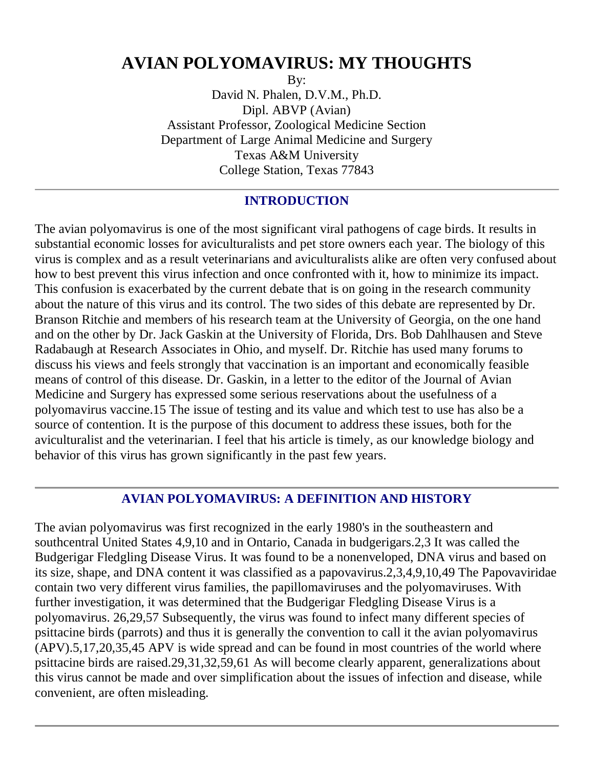# **AVIAN POLYOMAVIRUS: MY THOUGHTS**

By:

David N. Phalen, D.V.M., Ph.D. Dipl. ABVP (Avian) Assistant Professor, Zoological Medicine Section Department of Large Animal Medicine and Surgery Texas A&M University College Station, Texas 77843

## **INTRODUCTION**

The avian polyomavirus is one of the most significant viral pathogens of cage birds. It results in substantial economic losses for aviculturalists and pet store owners each year. The biology of this virus is complex and as a result veterinarians and aviculturalists alike are often very confused about how to best prevent this virus infection and once confronted with it, how to minimize its impact. This confusion is exacerbated by the current debate that is on going in the research community about the nature of this virus and its control. The two sides of this debate are represented by Dr. Branson Ritchie and members of his research team at the University of Georgia, on the one hand and on the other by Dr. Jack Gaskin at the University of Florida, Drs. Bob Dahlhausen and Steve Radabaugh at Research Associates in Ohio, and myself. Dr. Ritchie has used many forums to discuss his views and feels strongly that vaccination is an important and economically feasible means of control of this disease. Dr. Gaskin, in a letter to the editor of the Journal of Avian Medicine and Surgery has expressed some serious reservations about the usefulness of a polyomavirus vaccine.15 The issue of testing and its value and which test to use has also be a source of contention. It is the purpose of this document to address these issues, both for the aviculturalist and the veterinarian. I feel that his article is timely, as our knowledge biology and behavior of this virus has grown significantly in the past few years.

## **AVIAN POLYOMAVIRUS: A DEFINITION AND HISTORY**

The avian polyomavirus was first recognized in the early 1980's in the southeastern and southcentral United States 4,9,10 and in Ontario, Canada in budgerigars.2,3 It was called the Budgerigar Fledgling Disease Virus. It was found to be a nonenveloped, DNA virus and based on its size, shape, and DNA content it was classified as a papovavirus.2,3,4,9,10,49 The Papovaviridae contain two very different virus families, the papillomaviruses and the polyomaviruses. With further investigation, it was determined that the Budgerigar Fledgling Disease Virus is a polyomavirus. 26,29,57 Subsequently, the virus was found to infect many different species of psittacine birds (parrots) and thus it is generally the convention to call it the avian polyomavirus (APV).5,17,20,35,45 APV is wide spread and can be found in most countries of the world where psittacine birds are raised.29,31,32,59,61 As will become clearly apparent, generalizations about this virus cannot be made and over simplification about the issues of infection and disease, while convenient, are often misleading.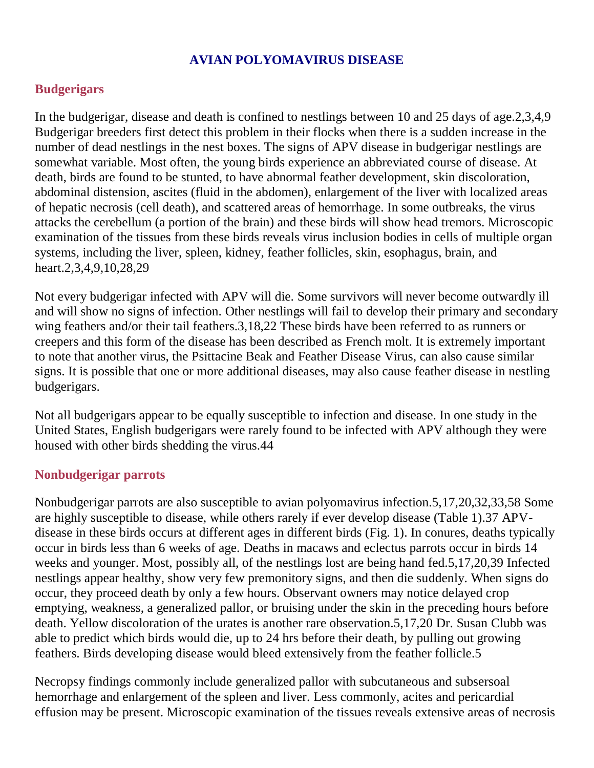## **AVIAN POLYOMAVIRUS DISEASE**

#### **Budgerigars**

In the budgerigar, disease and death is confined to nestlings between 10 and 25 days of age.2,3,4,9 Budgerigar breeders first detect this problem in their flocks when there is a sudden increase in the number of dead nestlings in the nest boxes. The signs of APV disease in budgerigar nestlings are somewhat variable. Most often, the young birds experience an abbreviated course of disease. At death, birds are found to be stunted, to have abnormal feather development, skin discoloration, abdominal distension, ascites (fluid in the abdomen), enlargement of the liver with localized areas of hepatic necrosis (cell death), and scattered areas of hemorrhage. In some outbreaks, the virus attacks the cerebellum (a portion of the brain) and these birds will show head tremors. Microscopic examination of the tissues from these birds reveals virus inclusion bodies in cells of multiple organ systems, including the liver, spleen, kidney, feather follicles, skin, esophagus, brain, and heart.2,3,4,9,10,28,29

Not every budgerigar infected with APV will die. Some survivors will never become outwardly ill and will show no signs of infection. Other nestlings will fail to develop their primary and secondary wing feathers and/or their tail feathers.3,18,22 These birds have been referred to as runners or creepers and this form of the disease has been described as French molt. It is extremely important to note that another virus, the Psittacine Beak and Feather Disease Virus, can also cause similar signs. It is possible that one or more additional diseases, may also cause feather disease in nestling budgerigars.

Not all budgerigars appear to be equally susceptible to infection and disease. In one study in the United States, English budgerigars were rarely found to be infected with APV although they were housed with other birds shedding the virus.44

#### **Nonbudgerigar parrots**

Nonbudgerigar parrots are also susceptible to avian polyomavirus infection.5,17,20,32,33,58 Some are highly susceptible to disease, while others rarely if ever develop disease (Table 1).37 APVdisease in these birds occurs at different ages in different birds (Fig. 1). In conures, deaths typically occur in birds less than 6 weeks of age. Deaths in macaws and eclectus parrots occur in birds 14 weeks and younger. Most, possibly all, of the nestlings lost are being hand fed.5,17,20,39 Infected nestlings appear healthy, show very few premonitory signs, and then die suddenly. When signs do occur, they proceed death by only a few hours. Observant owners may notice delayed crop emptying, weakness, a generalized pallor, or bruising under the skin in the preceding hours before death. Yellow discoloration of the urates is another rare observation.5,17,20 Dr. Susan Clubb was able to predict which birds would die, up to 24 hrs before their death, by pulling out growing feathers. Birds developing disease would bleed extensively from the feather follicle.5

Necropsy findings commonly include generalized pallor with subcutaneous and subsersoal hemorrhage and enlargement of the spleen and liver. Less commonly, acites and pericardial effusion may be present. Microscopic examination of the tissues reveals extensive areas of necrosis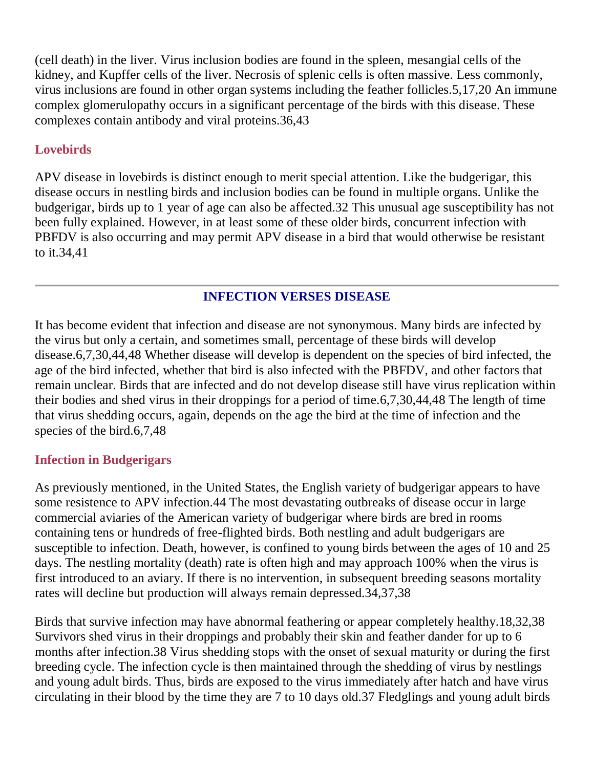(cell death) in the liver. Virus inclusion bodies are found in the spleen, mesangial cells of the kidney, and Kupffer cells of the liver. Necrosis of splenic cells is often massive. Less commonly, virus inclusions are found in other organ systems including the feather follicles.5,17,20 An immune complex glomerulopathy occurs in a significant percentage of the birds with this disease. These complexes contain antibody and viral proteins.36,43

## **Lovebirds**

APV disease in lovebirds is distinct enough to merit special attention. Like the budgerigar, this disease occurs in nestling birds and inclusion bodies can be found in multiple organs. Unlike the budgerigar, birds up to 1 year of age can also be affected.32 This unusual age susceptibility has not been fully explained. However, in at least some of these older birds, concurrent infection with PBFDV is also occurring and may permit APV disease in a bird that would otherwise be resistant to it.34,41

## **INFECTION VERSES DISEASE**

It has become evident that infection and disease are not synonymous. Many birds are infected by the virus but only a certain, and sometimes small, percentage of these birds will develop disease.6,7,30,44,48 Whether disease will develop is dependent on the species of bird infected, the age of the bird infected, whether that bird is also infected with the PBFDV, and other factors that remain unclear. Birds that are infected and do not develop disease still have virus replication within their bodies and shed virus in their droppings for a period of time.6,7,30,44,48 The length of time that virus shedding occurs, again, depends on the age the bird at the time of infection and the species of the bird.6,7,48

## **Infection in Budgerigars**

As previously mentioned, in the United States, the English variety of budgerigar appears to have some resistence to APV infection.44 The most devastating outbreaks of disease occur in large commercial aviaries of the American variety of budgerigar where birds are bred in rooms containing tens or hundreds of free-flighted birds. Both nestling and adult budgerigars are susceptible to infection. Death, however, is confined to young birds between the ages of 10 and 25 days. The nestling mortality (death) rate is often high and may approach 100% when the virus is first introduced to an aviary. If there is no intervention, in subsequent breeding seasons mortality rates will decline but production will always remain depressed.34,37,38

Birds that survive infection may have abnormal feathering or appear completely healthy.18,32,38 Survivors shed virus in their droppings and probably their skin and feather dander for up to 6 months after infection.38 Virus shedding stops with the onset of sexual maturity or during the first breeding cycle. The infection cycle is then maintained through the shedding of virus by nestlings and young adult birds. Thus, birds are exposed to the virus immediately after hatch and have virus circulating in their blood by the time they are 7 to 10 days old.37 Fledglings and young adult birds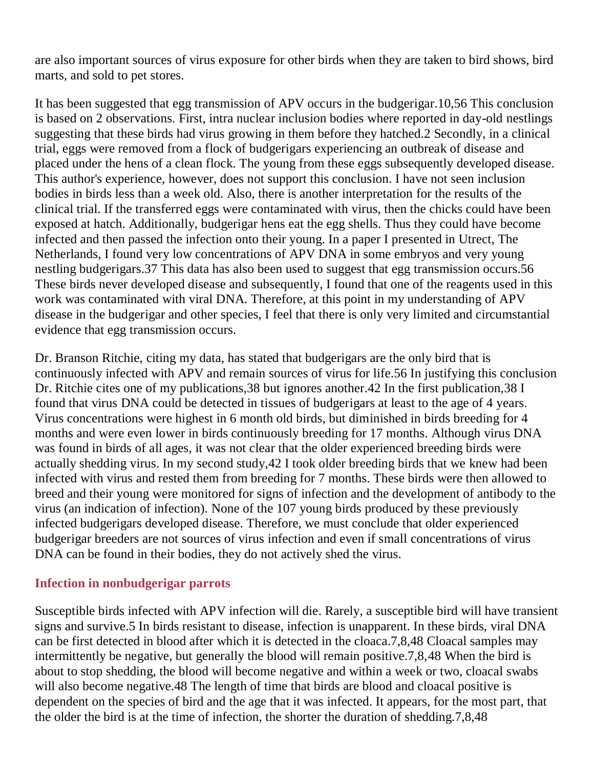are also important sources of virus exposure for other birds when they are taken to bird shows, bird marts, and sold to pet stores.

It has been suggested that egg transmission of APV occurs in the budgerigar.10,56 This conclusion is based on 2 observations. First, intra nuclear inclusion bodies where reported in day-old nestlings suggesting that these birds had virus growing in them before they hatched.2 Secondly, in a clinical trial, eggs were removed from a flock of budgerigars experiencing an outbreak of disease and placed under the hens of a clean flock. The young from these eggs subsequently developed disease. This author's experience, however, does not support this conclusion. I have not seen inclusion bodies in birds less than a week old. Also, there is another interpretation for the results of the clinical trial. If the transferred eggs were contaminated with virus, then the chicks could have been exposed at hatch. Additionally, budgerigar hens eat the egg shells. Thus they could have become infected and then passed the infection onto their young. In a paper I presented in Utrect, The Netherlands, I found very low concentrations of APV DNA in some embryos and very young nestling budgerigars.37 This data has also been used to suggest that egg transmission occurs.56 These birds never developed disease and subsequently, I found that one of the reagents used in this work was contaminated with viral DNA. Therefore, at this point in my understanding of APV disease in the budgerigar and other species, I feel that there is only very limited and circumstantial evidence that egg transmission occurs.

Dr. Branson Ritchie, citing my data, has stated that budgerigars are the only bird that is continuously infected with APV and remain sources of virus for life.56 In justifying this conclusion Dr. Ritchie cites one of my publications,38 but ignores another.42 In the first publication,38 I found that virus DNA could be detected in tissues of budgerigars at least to the age of 4 years. Virus concentrations were highest in 6 month old birds, but diminished in birds breeding for 4 months and were even lower in birds continuously breeding for 17 months. Although virus DNA was found in birds of all ages, it was not clear that the older experienced breeding birds were actually shedding virus. In my second study,42 I took older breeding birds that we knew had been infected with virus and rested them from breeding for 7 months. These birds were then allowed to breed and their young were monitored for signs of infection and the development of antibody to the virus (an indication of infection). None of the 107 young birds produced by these previously infected budgerigars developed disease. Therefore, we must conclude that older experienced budgerigar breeders are not sources of virus infection and even if small concentrations of virus DNA can be found in their bodies, they do not actively shed the virus.

## **Infection in nonbudgerigar parrots**

Susceptible birds infected with APV infection will die. Rarely, a susceptible bird will have transient signs and survive.5 In birds resistant to disease, infection is unapparent. In these birds, viral DNA can be first detected in blood after which it is detected in the cloaca.7,8,48 Cloacal samples may intermittently be negative, but generally the blood will remain positive.7,8,48 When the bird is about to stop shedding, the blood will become negative and within a week or two, cloacal swabs will also become negative.48 The length of time that birds are blood and cloacal positive is dependent on the species of bird and the age that it was infected. It appears, for the most part, that the older the bird is at the time of infection, the shorter the duration of shedding.7,8,48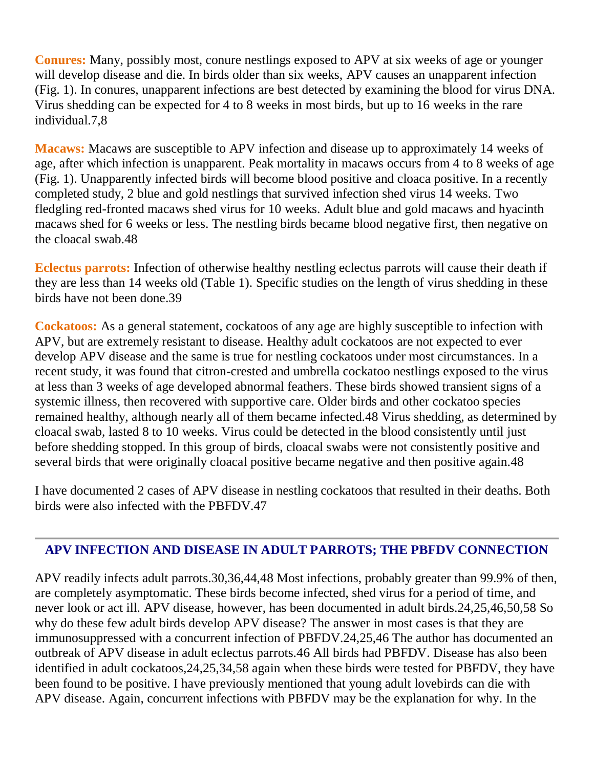**Conures:** Many, possibly most, conure nestlings exposed to APV at six weeks of age or younger will develop disease and die. In birds older than six weeks, APV causes an unapparent infection (Fig. 1). In conures, unapparent infections are best detected by examining the blood for virus DNA. Virus shedding can be expected for 4 to 8 weeks in most birds, but up to 16 weeks in the rare individual.7,8

**Macaws:** Macaws are susceptible to APV infection and disease up to approximately 14 weeks of age, after which infection is unapparent. Peak mortality in macaws occurs from 4 to 8 weeks of age (Fig. 1). Unapparently infected birds will become blood positive and cloaca positive. In a recently completed study, 2 blue and gold nestlings that survived infection shed virus 14 weeks. Two fledgling red-fronted macaws shed virus for 10 weeks. Adult blue and gold macaws and hyacinth macaws shed for 6 weeks or less. The nestling birds became blood negative first, then negative on the cloacal swab.48

**Eclectus parrots:** Infection of otherwise healthy nestling eclectus parrots will cause their death if they are less than 14 weeks old (Table 1). Specific studies on the length of virus shedding in these birds have not been done.39

**Cockatoos:** As a general statement, cockatoos of any age are highly susceptible to infection with APV, but are extremely resistant to disease. Healthy adult cockatoos are not expected to ever develop APV disease and the same is true for nestling cockatoos under most circumstances. In a recent study, it was found that citron-crested and umbrella cockatoo nestlings exposed to the virus at less than 3 weeks of age developed abnormal feathers. These birds showed transient signs of a systemic illness, then recovered with supportive care. Older birds and other cockatoo species remained healthy, although nearly all of them became infected.48 Virus shedding, as determined by cloacal swab, lasted 8 to 10 weeks. Virus could be detected in the blood consistently until just before shedding stopped. In this group of birds, cloacal swabs were not consistently positive and several birds that were originally cloacal positive became negative and then positive again.48

I have documented 2 cases of APV disease in nestling cockatoos that resulted in their deaths. Both birds were also infected with the PBFDV.47

## **APV INFECTION AND DISEASE IN ADULT PARROTS; THE PBFDV CONNECTION**

APV readily infects adult parrots.30,36,44,48 Most infections, probably greater than 99.9% of then, are completely asymptomatic. These birds become infected, shed virus for a period of time, and never look or act ill. APV disease, however, has been documented in adult birds.24,25,46,50,58 So why do these few adult birds develop APV disease? The answer in most cases is that they are immunosuppressed with a concurrent infection of PBFDV.24,25,46 The author has documented an outbreak of APV disease in adult eclectus parrots.46 All birds had PBFDV. Disease has also been identified in adult cockatoos,24,25,34,58 again when these birds were tested for PBFDV, they have been found to be positive. I have previously mentioned that young adult lovebirds can die with APV disease. Again, concurrent infections with PBFDV may be the explanation for why. In the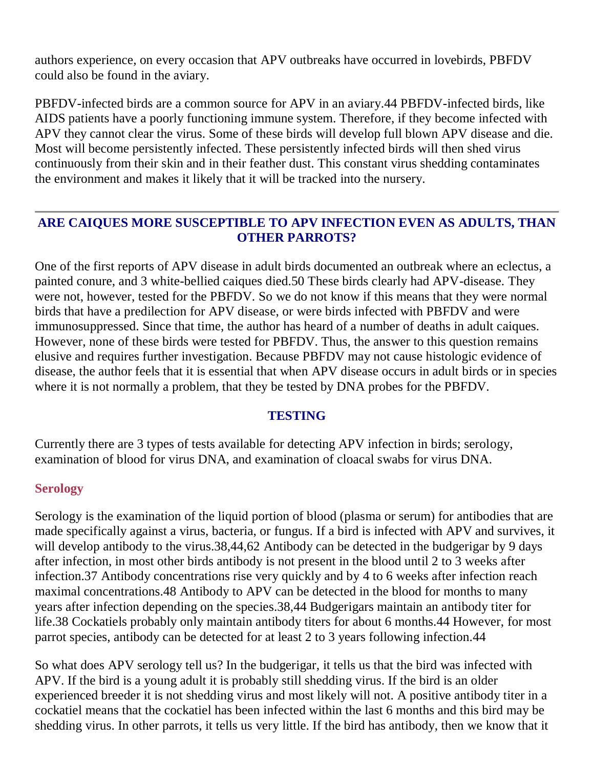authors experience, on every occasion that APV outbreaks have occurred in lovebirds, PBFDV could also be found in the aviary.

PBFDV-infected birds are a common source for APV in an aviary.44 PBFDV-infected birds, like AIDS patients have a poorly functioning immune system. Therefore, if they become infected with APV they cannot clear the virus. Some of these birds will develop full blown APV disease and die. Most will become persistently infected. These persistently infected birds will then shed virus continuously from their skin and in their feather dust. This constant virus shedding contaminates the environment and makes it likely that it will be tracked into the nursery.

## **ARE CAIQUES MORE SUSCEPTIBLE TO APV INFECTION EVEN AS ADULTS, THAN OTHER PARROTS?**

One of the first reports of APV disease in adult birds documented an outbreak where an eclectus, a painted conure, and 3 white-bellied caiques died.50 These birds clearly had APV-disease. They were not, however, tested for the PBFDV. So we do not know if this means that they were normal birds that have a predilection for APV disease, or were birds infected with PBFDV and were immunosuppressed. Since that time, the author has heard of a number of deaths in adult caiques. However, none of these birds were tested for PBFDV. Thus, the answer to this question remains elusive and requires further investigation. Because PBFDV may not cause histologic evidence of disease, the author feels that it is essential that when APV disease occurs in adult birds or in species where it is not normally a problem, that they be tested by DNA probes for the PBFDV.

## **TESTING**

Currently there are 3 types of tests available for detecting APV infection in birds; serology, examination of blood for virus DNA, and examination of cloacal swabs for virus DNA.

#### **Serology**

Serology is the examination of the liquid portion of blood (plasma or serum) for antibodies that are made specifically against a virus, bacteria, or fungus. If a bird is infected with APV and survives, it will develop antibody to the virus.38,44,62 Antibody can be detected in the budgerigar by 9 days after infection, in most other birds antibody is not present in the blood until 2 to 3 weeks after infection.37 Antibody concentrations rise very quickly and by 4 to 6 weeks after infection reach maximal concentrations.48 Antibody to APV can be detected in the blood for months to many years after infection depending on the species.38,44 Budgerigars maintain an antibody titer for life.38 Cockatiels probably only maintain antibody titers for about 6 months.44 However, for most parrot species, antibody can be detected for at least 2 to 3 years following infection.44

So what does APV serology tell us? In the budgerigar, it tells us that the bird was infected with APV. If the bird is a young adult it is probably still shedding virus. If the bird is an older experienced breeder it is not shedding virus and most likely will not. A positive antibody titer in a cockatiel means that the cockatiel has been infected within the last 6 months and this bird may be shedding virus. In other parrots, it tells us very little. If the bird has antibody, then we know that it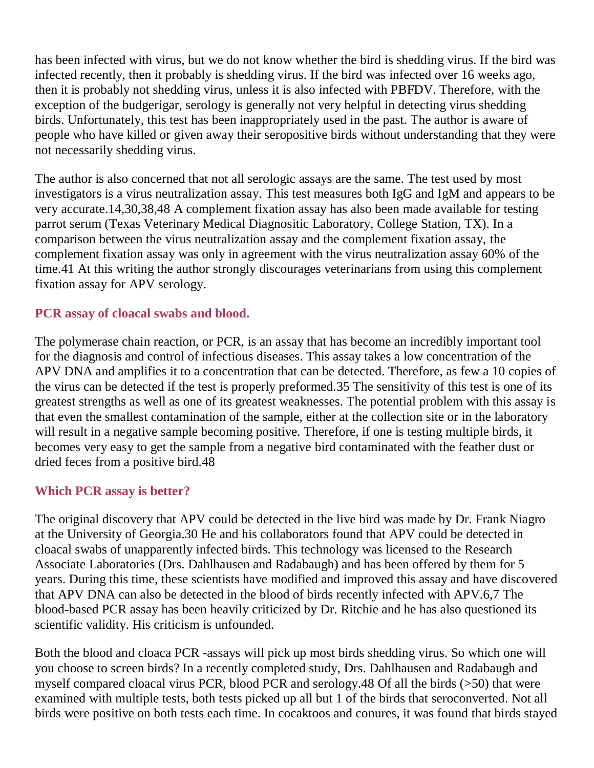has been infected with virus, but we do not know whether the bird is shedding virus. If the bird was infected recently, then it probably is shedding virus. If the bird was infected over 16 weeks ago, then it is probably not shedding virus, unless it is also infected with PBFDV. Therefore, with the exception of the budgerigar, serology is generally not very helpful in detecting virus shedding birds. Unfortunately, this test has been inappropriately used in the past. The author is aware of people who have killed or given away their seropositive birds without understanding that they were not necessarily shedding virus.

The author is also concerned that not all serologic assays are the same. The test used by most investigators is a virus neutralization assay. This test measures both IgG and IgM and appears to be very accurate.14,30,38,48 A complement fixation assay has also been made available for testing parrot serum (Texas Veterinary Medical Diagnositic Laboratory, College Station, TX). In a comparison between the virus neutralization assay and the complement fixation assay, the complement fixation assay was only in agreement with the virus neutralization assay 60% of the time.41 At this writing the author strongly discourages veterinarians from using this complement fixation assay for APV serology.

## **PCR assay of cloacal swabs and blood.**

The polymerase chain reaction, or PCR, is an assay that has become an incredibly important tool for the diagnosis and control of infectious diseases. This assay takes a low concentration of the APV DNA and amplifies it to a concentration that can be detected. Therefore, as few a 10 copies of the virus can be detected if the test is properly preformed.35 The sensitivity of this test is one of its greatest strengths as well as one of its greatest weaknesses. The potential problem with this assay is that even the smallest contamination of the sample, either at the collection site or in the laboratory will result in a negative sample becoming positive. Therefore, if one is testing multiple birds, it becomes very easy to get the sample from a negative bird contaminated with the feather dust or dried feces from a positive bird.48

#### **Which PCR assay is better?**

The original discovery that APV could be detected in the live bird was made by Dr. Frank Niagro at the University of Georgia.30 He and his collaborators found that APV could be detected in cloacal swabs of unapparently infected birds. This technology was licensed to the Research Associate Laboratories (Drs. Dahlhausen and Radabaugh) and has been offered by them for 5 years. During this time, these scientists have modified and improved this assay and have discovered that APV DNA can also be detected in the blood of birds recently infected with APV.6,7 The blood-based PCR assay has been heavily criticized by Dr. Ritchie and he has also questioned its scientific validity. His criticism is unfounded.

Both the blood and cloaca PCR -assays will pick up most birds shedding virus. So which one will you choose to screen birds? In a recently completed study, Drs. Dahlhausen and Radabaugh and myself compared cloacal virus PCR, blood PCR and serology.48 Of all the birds (>50) that were examined with multiple tests, both tests picked up all but 1 of the birds that seroconverted. Not all birds were positive on both tests each time. In cocaktoos and conures, it was found that birds stayed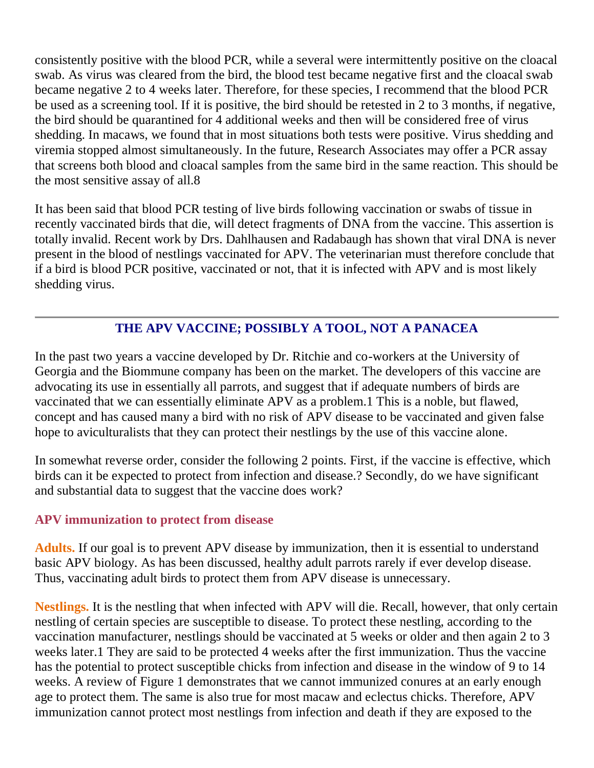consistently positive with the blood PCR, while a several were intermittently positive on the cloacal swab. As virus was cleared from the bird, the blood test became negative first and the cloacal swab became negative 2 to 4 weeks later. Therefore, for these species, I recommend that the blood PCR be used as a screening tool. If it is positive, the bird should be retested in 2 to 3 months, if negative, the bird should be quarantined for 4 additional weeks and then will be considered free of virus shedding. In macaws, we found that in most situations both tests were positive. Virus shedding and viremia stopped almost simultaneously. In the future, Research Associates may offer a PCR assay that screens both blood and cloacal samples from the same bird in the same reaction. This should be the most sensitive assay of all.8

It has been said that blood PCR testing of live birds following vaccination or swabs of tissue in recently vaccinated birds that die, will detect fragments of DNA from the vaccine. This assertion is totally invalid. Recent work by Drs. Dahlhausen and Radabaugh has shown that viral DNA is never present in the blood of nestlings vaccinated for APV. The veterinarian must therefore conclude that if a bird is blood PCR positive, vaccinated or not, that it is infected with APV and is most likely shedding virus.

## **THE APV VACCINE; POSSIBLY A TOOL, NOT A PANACEA**

In the past two years a vaccine developed by Dr. Ritchie and co-workers at the University of Georgia and the Biommune company has been on the market. The developers of this vaccine are advocating its use in essentially all parrots, and suggest that if adequate numbers of birds are vaccinated that we can essentially eliminate APV as a problem.1 This is a noble, but flawed, concept and has caused many a bird with no risk of APV disease to be vaccinated and given false hope to aviculturalists that they can protect their nestlings by the use of this vaccine alone.

In somewhat reverse order, consider the following 2 points. First, if the vaccine is effective, which birds can it be expected to protect from infection and disease.? Secondly, do we have significant and substantial data to suggest that the vaccine does work?

## **APV immunization to protect from disease**

**Adults.** If our goal is to prevent APV disease by immunization, then it is essential to understand basic APV biology. As has been discussed, healthy adult parrots rarely if ever develop disease. Thus, vaccinating adult birds to protect them from APV disease is unnecessary.

**Nestlings.** It is the nestling that when infected with APV will die. Recall, however, that only certain nestling of certain species are susceptible to disease. To protect these nestling, according to the vaccination manufacturer, nestlings should be vaccinated at 5 weeks or older and then again 2 to 3 weeks later.1 They are said to be protected 4 weeks after the first immunization. Thus the vaccine has the potential to protect susceptible chicks from infection and disease in the window of 9 to 14 weeks. A review of Figure 1 demonstrates that we cannot immunized conures at an early enough age to protect them. The same is also true for most macaw and eclectus chicks. Therefore, APV immunization cannot protect most nestlings from infection and death if they are exposed to the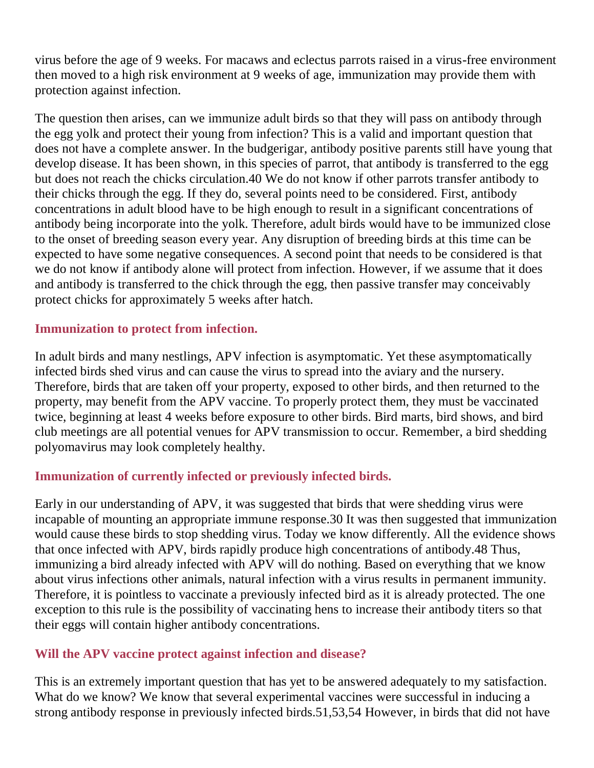virus before the age of 9 weeks. For macaws and eclectus parrots raised in a virus-free environment then moved to a high risk environment at 9 weeks of age, immunization may provide them with protection against infection.

The question then arises, can we immunize adult birds so that they will pass on antibody through the egg yolk and protect their young from infection? This is a valid and important question that does not have a complete answer. In the budgerigar, antibody positive parents still have young that develop disease. It has been shown, in this species of parrot, that antibody is transferred to the egg but does not reach the chicks circulation.40 We do not know if other parrots transfer antibody to their chicks through the egg. If they do, several points need to be considered. First, antibody concentrations in adult blood have to be high enough to result in a significant concentrations of antibody being incorporate into the yolk. Therefore, adult birds would have to be immunized close to the onset of breeding season every year. Any disruption of breeding birds at this time can be expected to have some negative consequences. A second point that needs to be considered is that we do not know if antibody alone will protect from infection. However, if we assume that it does and antibody is transferred to the chick through the egg, then passive transfer may conceivably protect chicks for approximately 5 weeks after hatch.

## **Immunization to protect from infection.**

In adult birds and many nestlings, APV infection is asymptomatic. Yet these asymptomatically infected birds shed virus and can cause the virus to spread into the aviary and the nursery. Therefore, birds that are taken off your property, exposed to other birds, and then returned to the property, may benefit from the APV vaccine. To properly protect them, they must be vaccinated twice, beginning at least 4 weeks before exposure to other birds. Bird marts, bird shows, and bird club meetings are all potential venues for APV transmission to occur. Remember, a bird shedding polyomavirus may look completely healthy.

# **Immunization of currently infected or previously infected birds.**

Early in our understanding of APV, it was suggested that birds that were shedding virus were incapable of mounting an appropriate immune response.30 It was then suggested that immunization would cause these birds to stop shedding virus. Today we know differently. All the evidence shows that once infected with APV, birds rapidly produce high concentrations of antibody.48 Thus, immunizing a bird already infected with APV will do nothing. Based on everything that we know about virus infections other animals, natural infection with a virus results in permanent immunity. Therefore, it is pointless to vaccinate a previously infected bird as it is already protected. The one exception to this rule is the possibility of vaccinating hens to increase their antibody titers so that their eggs will contain higher antibody concentrations.

## **Will the APV vaccine protect against infection and disease?**

This is an extremely important question that has yet to be answered adequately to my satisfaction. What do we know? We know that several experimental vaccines were successful in inducing a strong antibody response in previously infected birds.51,53,54 However, in birds that did not have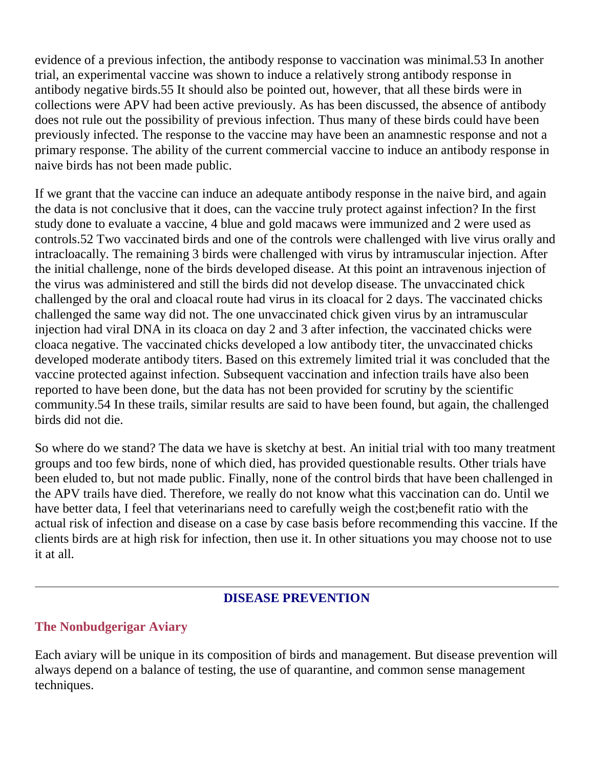evidence of a previous infection, the antibody response to vaccination was minimal.53 In another trial, an experimental vaccine was shown to induce a relatively strong antibody response in antibody negative birds.55 It should also be pointed out, however, that all these birds were in collections were APV had been active previously. As has been discussed, the absence of antibody does not rule out the possibility of previous infection. Thus many of these birds could have been previously infected. The response to the vaccine may have been an anamnestic response and not a primary response. The ability of the current commercial vaccine to induce an antibody response in naive birds has not been made public.

If we grant that the vaccine can induce an adequate antibody response in the naive bird, and again the data is not conclusive that it does, can the vaccine truly protect against infection? In the first study done to evaluate a vaccine, 4 blue and gold macaws were immunized and 2 were used as controls.52 Two vaccinated birds and one of the controls were challenged with live virus orally and intracloacally. The remaining 3 birds were challenged with virus by intramuscular injection. After the initial challenge, none of the birds developed disease. At this point an intravenous injection of the virus was administered and still the birds did not develop disease. The unvaccinated chick challenged by the oral and cloacal route had virus in its cloacal for 2 days. The vaccinated chicks challenged the same way did not. The one unvaccinated chick given virus by an intramuscular injection had viral DNA in its cloaca on day 2 and 3 after infection, the vaccinated chicks were cloaca negative. The vaccinated chicks developed a low antibody titer, the unvaccinated chicks developed moderate antibody titers. Based on this extremely limited trial it was concluded that the vaccine protected against infection. Subsequent vaccination and infection trails have also been reported to have been done, but the data has not been provided for scrutiny by the scientific community.54 In these trails, similar results are said to have been found, but again, the challenged birds did not die.

So where do we stand? The data we have is sketchy at best. An initial trial with too many treatment groups and too few birds, none of which died, has provided questionable results. Other trials have been eluded to, but not made public. Finally, none of the control birds that have been challenged in the APV trails have died. Therefore, we really do not know what this vaccination can do. Until we have better data, I feel that veterinarians need to carefully weigh the cost;benefit ratio with the actual risk of infection and disease on a case by case basis before recommending this vaccine. If the clients birds are at high risk for infection, then use it. In other situations you may choose not to use it at all.

#### **DISEASE PREVENTION**

#### **The Nonbudgerigar Aviary**

Each aviary will be unique in its composition of birds and management. But disease prevention will always depend on a balance of testing, the use of quarantine, and common sense management techniques.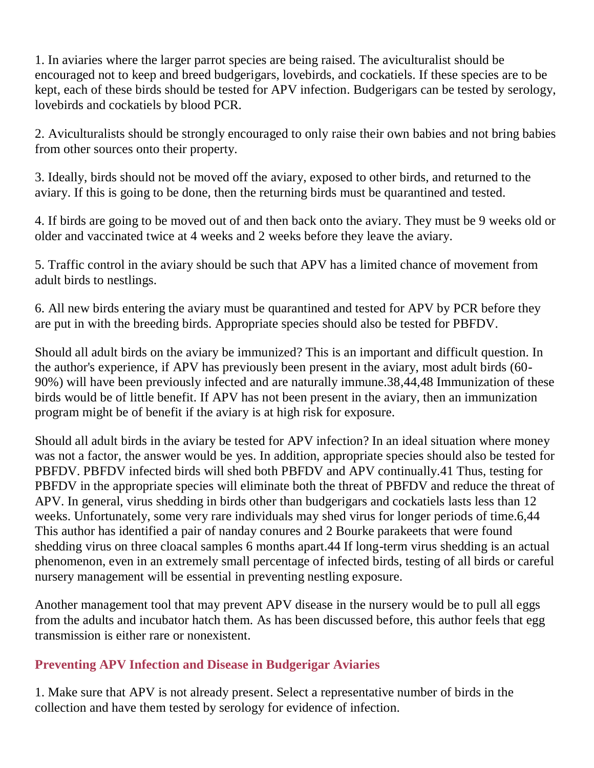1. In aviaries where the larger parrot species are being raised. The aviculturalist should be encouraged not to keep and breed budgerigars, lovebirds, and cockatiels. If these species are to be kept, each of these birds should be tested for APV infection. Budgerigars can be tested by serology, lovebirds and cockatiels by blood PCR.

2. Aviculturalists should be strongly encouraged to only raise their own babies and not bring babies from other sources onto their property.

3. Ideally, birds should not be moved off the aviary, exposed to other birds, and returned to the aviary. If this is going to be done, then the returning birds must be quarantined and tested.

4. If birds are going to be moved out of and then back onto the aviary. They must be 9 weeks old or older and vaccinated twice at 4 weeks and 2 weeks before they leave the aviary.

5. Traffic control in the aviary should be such that APV has a limited chance of movement from adult birds to nestlings.

6. All new birds entering the aviary must be quarantined and tested for APV by PCR before they are put in with the breeding birds. Appropriate species should also be tested for PBFDV.

Should all adult birds on the aviary be immunized? This is an important and difficult question. In the author's experience, if APV has previously been present in the aviary, most adult birds (60- 90%) will have been previously infected and are naturally immune.38,44,48 Immunization of these birds would be of little benefit. If APV has not been present in the aviary, then an immunization program might be of benefit if the aviary is at high risk for exposure.

Should all adult birds in the aviary be tested for APV infection? In an ideal situation where money was not a factor, the answer would be yes. In addition, appropriate species should also be tested for PBFDV. PBFDV infected birds will shed both PBFDV and APV continually.41 Thus, testing for PBFDV in the appropriate species will eliminate both the threat of PBFDV and reduce the threat of APV. In general, virus shedding in birds other than budgerigars and cockatiels lasts less than 12 weeks. Unfortunately, some very rare individuals may shed virus for longer periods of time.6,44 This author has identified a pair of nanday conures and 2 Bourke parakeets that were found shedding virus on three cloacal samples 6 months apart.44 If long-term virus shedding is an actual phenomenon, even in an extremely small percentage of infected birds, testing of all birds or careful nursery management will be essential in preventing nestling exposure.

Another management tool that may prevent APV disease in the nursery would be to pull all eggs from the adults and incubator hatch them. As has been discussed before, this author feels that egg transmission is either rare or nonexistent.

# **Preventing APV Infection and Disease in Budgerigar Aviaries**

1. Make sure that APV is not already present. Select a representative number of birds in the collection and have them tested by serology for evidence of infection.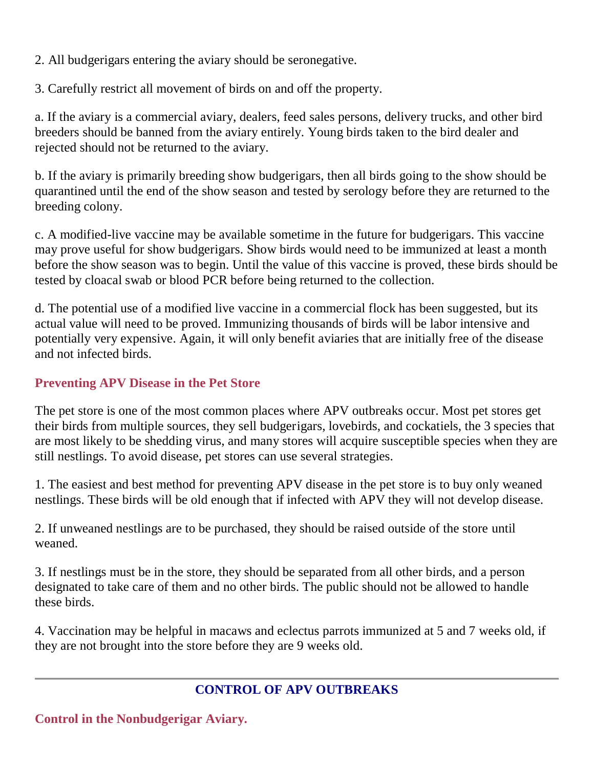2. All budgerigars entering the aviary should be seronegative.

3. Carefully restrict all movement of birds on and off the property.

a. If the aviary is a commercial aviary, dealers, feed sales persons, delivery trucks, and other bird breeders should be banned from the aviary entirely. Young birds taken to the bird dealer and rejected should not be returned to the aviary.

b. If the aviary is primarily breeding show budgerigars, then all birds going to the show should be quarantined until the end of the show season and tested by serology before they are returned to the breeding colony.

c. A modified-live vaccine may be available sometime in the future for budgerigars. This vaccine may prove useful for show budgerigars. Show birds would need to be immunized at least a month before the show season was to begin. Until the value of this vaccine is proved, these birds should be tested by cloacal swab or blood PCR before being returned to the collection.

d. The potential use of a modified live vaccine in a commercial flock has been suggested, but its actual value will need to be proved. Immunizing thousands of birds will be labor intensive and potentially very expensive. Again, it will only benefit aviaries that are initially free of the disease and not infected birds.

# **Preventing APV Disease in the Pet Store**

The pet store is one of the most common places where APV outbreaks occur. Most pet stores get their birds from multiple sources, they sell budgerigars, lovebirds, and cockatiels, the 3 species that are most likely to be shedding virus, and many stores will acquire susceptible species when they are still nestlings. To avoid disease, pet stores can use several strategies.

1. The easiest and best method for preventing APV disease in the pet store is to buy only weaned nestlings. These birds will be old enough that if infected with APV they will not develop disease.

2. If unweaned nestlings are to be purchased, they should be raised outside of the store until weaned.

3. If nestlings must be in the store, they should be separated from all other birds, and a person designated to take care of them and no other birds. The public should not be allowed to handle these birds.

4. Vaccination may be helpful in macaws and eclectus parrots immunized at 5 and 7 weeks old, if they are not brought into the store before they are 9 weeks old.

# **CONTROL OF APV OUTBREAKS**

**Control in the Nonbudgerigar Aviary.**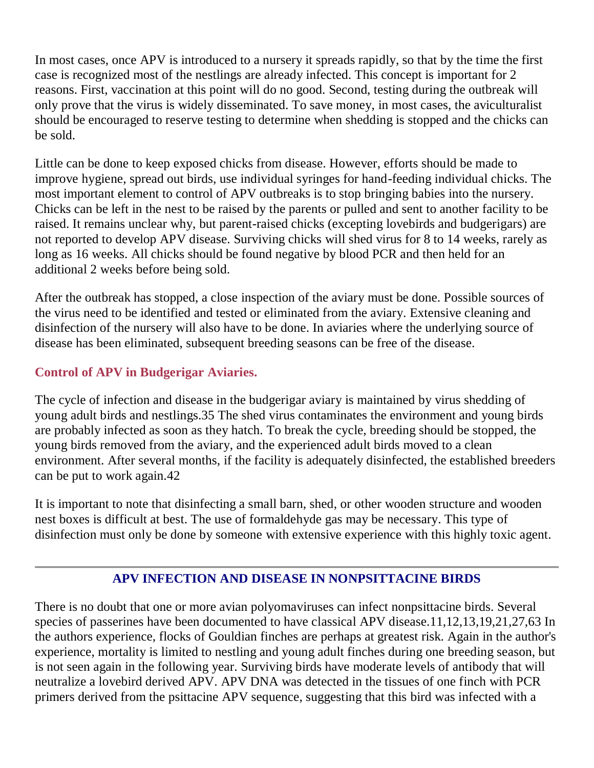In most cases, once APV is introduced to a nursery it spreads rapidly, so that by the time the first case is recognized most of the nestlings are already infected. This concept is important for 2 reasons. First, vaccination at this point will do no good. Second, testing during the outbreak will only prove that the virus is widely disseminated. To save money, in most cases, the aviculturalist should be encouraged to reserve testing to determine when shedding is stopped and the chicks can be sold.

Little can be done to keep exposed chicks from disease. However, efforts should be made to improve hygiene, spread out birds, use individual syringes for hand-feeding individual chicks. The most important element to control of APV outbreaks is to stop bringing babies into the nursery. Chicks can be left in the nest to be raised by the parents or pulled and sent to another facility to be raised. It remains unclear why, but parent-raised chicks (excepting lovebirds and budgerigars) are not reported to develop APV disease. Surviving chicks will shed virus for 8 to 14 weeks, rarely as long as 16 weeks. All chicks should be found negative by blood PCR and then held for an additional 2 weeks before being sold.

After the outbreak has stopped, a close inspection of the aviary must be done. Possible sources of the virus need to be identified and tested or eliminated from the aviary. Extensive cleaning and disinfection of the nursery will also have to be done. In aviaries where the underlying source of disease has been eliminated, subsequent breeding seasons can be free of the disease.

# **Control of APV in Budgerigar Aviaries.**

The cycle of infection and disease in the budgerigar aviary is maintained by virus shedding of young adult birds and nestlings.35 The shed virus contaminates the environment and young birds are probably infected as soon as they hatch. To break the cycle, breeding should be stopped, the young birds removed from the aviary, and the experienced adult birds moved to a clean environment. After several months, if the facility is adequately disinfected, the established breeders can be put to work again.42

It is important to note that disinfecting a small barn, shed, or other wooden structure and wooden nest boxes is difficult at best. The use of formaldehyde gas may be necessary. This type of disinfection must only be done by someone with extensive experience with this highly toxic agent.

# **APV INFECTION AND DISEASE IN NONPSITTACINE BIRDS**

There is no doubt that one or more avian polyomaviruses can infect nonpsittacine birds. Several species of passerines have been documented to have classical APV disease.11,12,13,19,21,27,63 In the authors experience, flocks of Gouldian finches are perhaps at greatest risk. Again in the author's experience, mortality is limited to nestling and young adult finches during one breeding season, but is not seen again in the following year. Surviving birds have moderate levels of antibody that will neutralize a lovebird derived APV. APV DNA was detected in the tissues of one finch with PCR primers derived from the psittacine APV sequence, suggesting that this bird was infected with a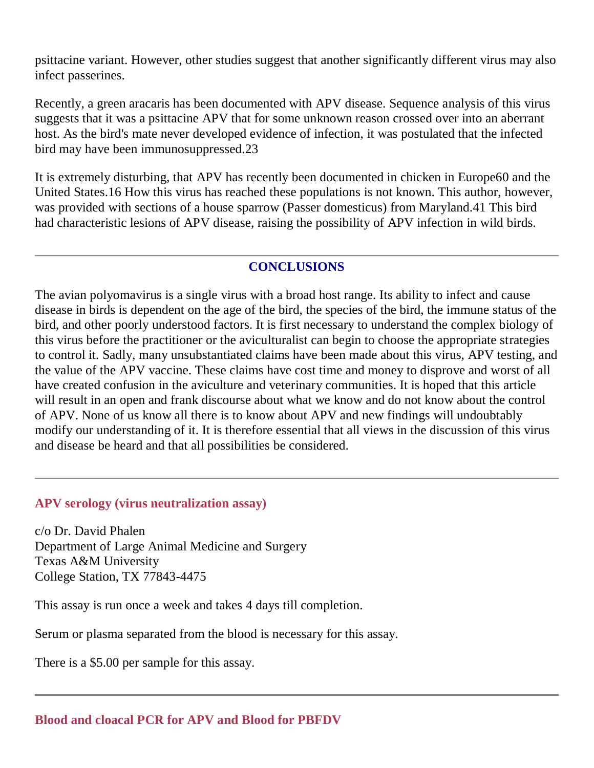psittacine variant. However, other studies suggest that another significantly different virus may also infect passerines.

Recently, a green aracaris has been documented with APV disease. Sequence analysis of this virus suggests that it was a psittacine APV that for some unknown reason crossed over into an aberrant host. As the bird's mate never developed evidence of infection, it was postulated that the infected bird may have been immunosuppressed.23

It is extremely disturbing, that APV has recently been documented in chicken in Europe60 and the United States.16 How this virus has reached these populations is not known. This author, however, was provided with sections of a house sparrow (Passer domesticus) from Maryland.41 This bird had characteristic lesions of APV disease, raising the possibility of APV infection in wild birds.

## **CONCLUSIONS**

The avian polyomavirus is a single virus with a broad host range. Its ability to infect and cause disease in birds is dependent on the age of the bird, the species of the bird, the immune status of the bird, and other poorly understood factors. It is first necessary to understand the complex biology of this virus before the practitioner or the aviculturalist can begin to choose the appropriate strategies to control it. Sadly, many unsubstantiated claims have been made about this virus, APV testing, and the value of the APV vaccine. These claims have cost time and money to disprove and worst of all have created confusion in the aviculture and veterinary communities. It is hoped that this article will result in an open and frank discourse about what we know and do not know about the control of APV. None of us know all there is to know about APV and new findings will undoubtably modify our understanding of it. It is therefore essential that all views in the discussion of this virus and disease be heard and that all possibilities be considered.

#### **APV serology (virus neutralization assay)**

c/o Dr. David Phalen Department of Large Animal Medicine and Surgery Texas A&M University College Station, TX 77843-4475

This assay is run once a week and takes 4 days till completion.

Serum or plasma separated from the blood is necessary for this assay.

There is a \$5.00 per sample for this assay.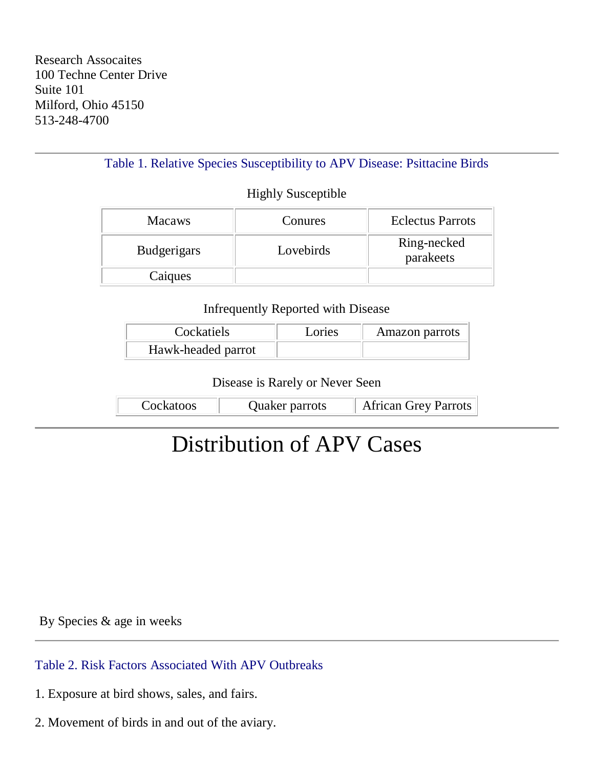Table 1. Relative Species Susceptibility to APV Disease: Psittacine Birds

#### Highly Susceptible

| <b>Macaws</b>      | Conures   | <b>Eclectus Parrots</b>  |
|--------------------|-----------|--------------------------|
| <b>Budgerigars</b> | Lovebirds | Ring-necked<br>parakeets |
| Caiques            |           |                          |

#### Infrequently Reported with Disease

| Cockatiels         | Lories | Amazon parrots |
|--------------------|--------|----------------|
| Hawk-headed parrot |        |                |

Disease is Rarely or Never Seen

| Cockatoos | Quaker parrots | African Grey Parrots |
|-----------|----------------|----------------------|
|-----------|----------------|----------------------|

# Distribution of APV Cases

By Species & age in weeks

Table 2. Risk Factors Associated With APV Outbreaks

- 1. Exposure at bird shows, sales, and fairs.
- 2. Movement of birds in and out of the aviary.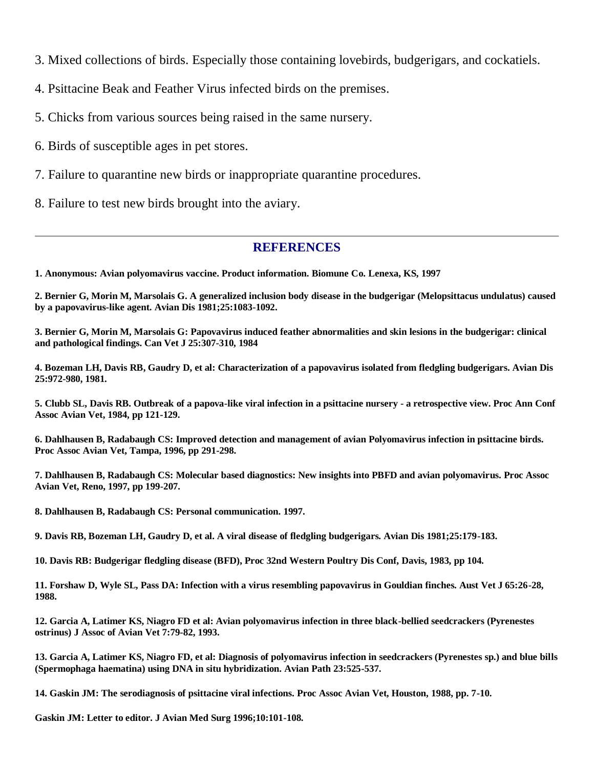3. Mixed collections of birds. Especially those containing lovebirds, budgerigars, and cockatiels.

4. Psittacine Beak and Feather Virus infected birds on the premises.

5. Chicks from various sources being raised in the same nursery.

6. Birds of susceptible ages in pet stores.

7. Failure to quarantine new birds or inappropriate quarantine procedures.

8. Failure to test new birds brought into the aviary.

#### **REFERENCES**

**1. Anonymous: Avian polyomavirus vaccine. Product information. Biomune Co. Lenexa, KS, 1997**

**2. Bernier G, Morin M, Marsolais G. A generalized inclusion body disease in the budgerigar (Melopsittacus undulatus) caused by a papovavirus-like agent. Avian Dis 1981;25:1083-1092.**

**3. Bernier G, Morin M, Marsolais G: Papovavirus induced feather abnormalities and skin lesions in the budgerigar: clinical and pathological findings. Can Vet J 25:307-310, 1984**

**4. Bozeman LH, Davis RB, Gaudry D, et al: Characterization of a papovavirus isolated from fledgling budgerigars. Avian Dis 25:972-980, 1981.**

**5. Clubb SL, Davis RB. Outbreak of a papova-like viral infection in a psittacine nursery - a retrospective view. Proc Ann Conf Assoc Avian Vet, 1984, pp 121-129.**

**6. Dahlhausen B, Radabaugh CS: Improved detection and management of avian Polyomavirus infection in psittacine birds. Proc Assoc Avian Vet, Tampa, 1996, pp 291-298.**

**7. Dahlhausen B, Radabaugh CS: Molecular based diagnostics: New insights into PBFD and avian polyomavirus. Proc Assoc Avian Vet, Reno, 1997, pp 199-207.**

**8. Dahlhausen B, Radabaugh CS: Personal communication. 1997.**

**9. Davis RB, Bozeman LH, Gaudry D, et al. A viral disease of fledgling budgerigars. Avian Dis 1981;25:179-183.**

**10. Davis RB: Budgerigar fledgling disease (BFD), Proc 32nd Western Poultry Dis Conf, Davis, 1983, pp 104.**

**11. Forshaw D, Wyle SL, Pass DA: Infection with a virus resembling papovavirus in Gouldian finches. Aust Vet J 65:26-28, 1988.**

**12. Garcia A, Latimer KS, Niagro FD et al: Avian polyomavirus infection in three black-bellied seedcrackers (Pyrenestes ostrinus) J Assoc of Avian Vet 7:79-82, 1993.**

**13. Garcia A, Latimer KS, Niagro FD, et al: Diagnosis of polyomavirus infection in seedcrackers (Pyrenestes sp.) and blue bills (Spermophaga haematina) using DNA in situ hybridization. Avian Path 23:525-537.**

**14. Gaskin JM: The serodiagnosis of psittacine viral infections. Proc Assoc Avian Vet, Houston, 1988, pp. 7-10.**

**Gaskin JM: Letter to editor. J Avian Med Surg 1996;10:101-108.**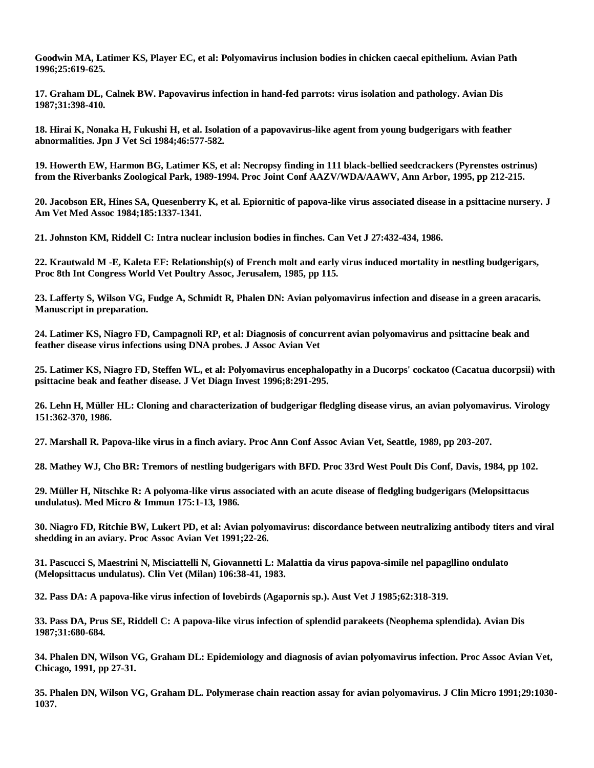**Goodwin MA, Latimer KS, Player EC, et al: Polyomavirus inclusion bodies in chicken caecal epithelium. Avian Path 1996;25:619-625.**

**17. Graham DL, Calnek BW. Papovavirus infection in hand-fed parrots: virus isolation and pathology. Avian Dis 1987;31:398-410.**

**18. Hirai K, Nonaka H, Fukushi H, et al. Isolation of a papovavirus-like agent from young budgerigars with feather abnormalities. Jpn J Vet Sci 1984;46:577-582.**

**19. Howerth EW, Harmon BG, Latimer KS, et al: Necropsy finding in 111 black-bellied seedcrackers (Pyrenstes ostrinus) from the Riverbanks Zoological Park, 1989-1994. Proc Joint Conf AAZV/WDA/AAWV, Ann Arbor, 1995, pp 212-215.**

**20. Jacobson ER, Hines SA, Quesenberry K, et al. Epiornitic of papova-like virus associated disease in a psittacine nursery. J Am Vet Med Assoc 1984;185:1337-1341.**

**21. Johnston KM, Riddell C: Intra nuclear inclusion bodies in finches. Can Vet J 27:432-434, 1986.**

**22. Krautwald M -E, Kaleta EF: Relationship(s) of French molt and early virus induced mortality in nestling budgerigars, Proc 8th Int Congress World Vet Poultry Assoc, Jerusalem, 1985, pp 115.**

**23. Lafferty S, Wilson VG, Fudge A, Schmidt R, Phalen DN: Avian polyomavirus infection and disease in a green aracaris. Manuscript in preparation.**

**24. Latimer KS, Niagro FD, Campagnoli RP, et al: Diagnosis of concurrent avian polyomavirus and psittacine beak and feather disease virus infections using DNA probes. J Assoc Avian Vet**

**25. Latimer KS, Niagro FD, Steffen WL, et al: Polyomavirus encephalopathy in a Ducorps' cockatoo (Cacatua ducorpsii) with psittacine beak and feather disease. J Vet Diagn Invest 1996;8:291-295.**

**26. Lehn H, Müller HL: Cloning and characterization of budgerigar fledgling disease virus, an avian polyomavirus. Virology 151:362-370, 1986.**

**27. Marshall R. Papova-like virus in a finch aviary. Proc Ann Conf Assoc Avian Vet, Seattle, 1989, pp 203-207.**

**28. Mathey WJ, Cho BR: Tremors of nestling budgerigars with BFD. Proc 33rd West Poult Dis Conf, Davis, 1984, pp 102.**

**29. Müller H, Nitschke R: A polyoma-like virus associated with an acute disease of fledgling budgerigars (Melopsittacus undulatus). Med Micro & Immun 175:1-13, 1986.**

**30. Niagro FD, Ritchie BW, Lukert PD, et al: Avian polyomavirus: discordance between neutralizing antibody titers and viral shedding in an aviary. Proc Assoc Avian Vet 1991;22-26.**

**31. Pascucci S, Maestrini N, Misciattelli N, Giovannetti L: Malattia da virus papova-simile nel papagllino ondulato (Melopsittacus undulatus). Clin Vet (Milan) 106:38-41, 1983.**

**32. Pass DA: A papova-like virus infection of lovebirds (Agapornis sp.). Aust Vet J 1985;62:318-319.**

**33. Pass DA, Prus SE, Riddell C: A papova-like virus infection of splendid parakeets (Neophema splendida). Avian Dis 1987;31:680-684.**

**34. Phalen DN, Wilson VG, Graham DL: Epidemiology and diagnosis of avian polyomavirus infection. Proc Assoc Avian Vet, Chicago, 1991, pp 27-31.**

**35. Phalen DN, Wilson VG, Graham DL. Polymerase chain reaction assay for avian polyomavirus. J Clin Micro 1991;29:1030- 1037.**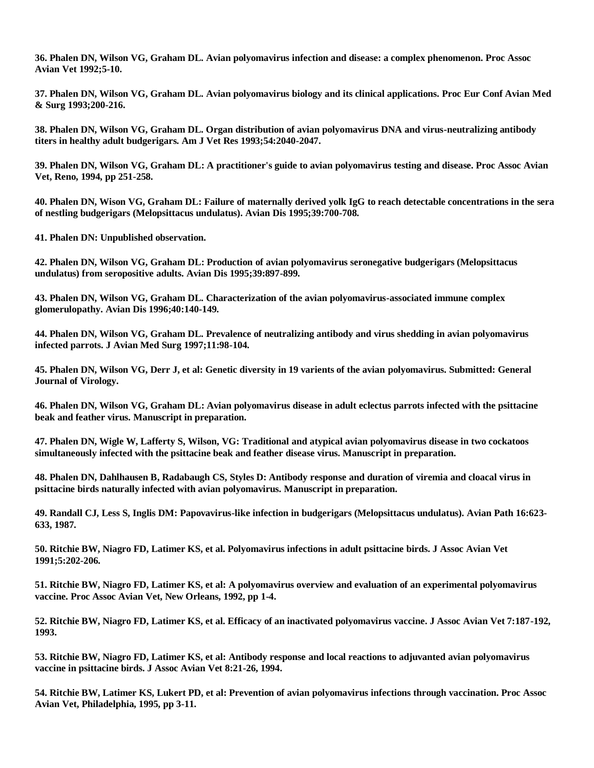**36. Phalen DN, Wilson VG, Graham DL. Avian polyomavirus infection and disease: a complex phenomenon. Proc Assoc Avian Vet 1992;5-10.**

**37. Phalen DN, Wilson VG, Graham DL. Avian polyomavirus biology and its clinical applications. Proc Eur Conf Avian Med & Surg 1993;200-216.**

**38. Phalen DN, Wilson VG, Graham DL. Organ distribution of avian polyomavirus DNA and virus-neutralizing antibody titers in healthy adult budgerigars. Am J Vet Res 1993;54:2040-2047.**

**39. Phalen DN, Wilson VG, Graham DL: A practitioner's guide to avian polyomavirus testing and disease. Proc Assoc Avian Vet, Reno, 1994, pp 251-258.**

**40. Phalen DN, Wison VG, Graham DL: Failure of maternally derived yolk IgG to reach detectable concentrations in the sera of nestling budgerigars (Melopsittacus undulatus). Avian Dis 1995;39:700-708.**

**41. Phalen DN: Unpublished observation.**

**42. Phalen DN, Wilson VG, Graham DL: Production of avian polyomavirus seronegative budgerigars (Melopsittacus undulatus) from seropositive adults. Avian Dis 1995;39:897-899.**

**43. Phalen DN, Wilson VG, Graham DL. Characterization of the avian polyomavirus-associated immune complex glomerulopathy. Avian Dis 1996;40:140-149.**

**44. Phalen DN, Wilson VG, Graham DL. Prevalence of neutralizing antibody and virus shedding in avian polyomavirus infected parrots. J Avian Med Surg 1997;11:98-104.**

**45. Phalen DN, Wilson VG, Derr J, et al: Genetic diversity in 19 varients of the avian polyomavirus. Submitted: General Journal of Virology.**

**46. Phalen DN, Wilson VG, Graham DL: Avian polyomavirus disease in adult eclectus parrots infected with the psittacine beak and feather virus. Manuscript in preparation.**

**47. Phalen DN, Wigle W, Lafferty S, Wilson, VG: Traditional and atypical avian polyomavirus disease in two cockatoos simultaneously infected with the psittacine beak and feather disease virus. Manuscript in preparation.**

**48. Phalen DN, Dahlhausen B, Radabaugh CS, Styles D: Antibody response and duration of viremia and cloacal virus in psittacine birds naturally infected with avian polyomavirus. Manuscript in preparation.**

**49. Randall CJ, Less S, Inglis DM: Papovavirus-like infection in budgerigars (Melopsittacus undulatus). Avian Path 16:623- 633, 1987.**

**50. Ritchie BW, Niagro FD, Latimer KS, et al. Polyomavirus infections in adult psittacine birds. J Assoc Avian Vet 1991;5:202-206.**

**51. Ritchie BW, Niagro FD, Latimer KS, et al: A polyomavirus overview and evaluation of an experimental polyomavirus vaccine. Proc Assoc Avian Vet, New Orleans, 1992, pp 1-4.**

**52. Ritchie BW, Niagro FD, Latimer KS, et al. Efficacy of an inactivated polyomavirus vaccine. J Assoc Avian Vet 7:187-192, 1993.**

**53. Ritchie BW, Niagro FD, Latimer KS, et al: Antibody response and local reactions to adjuvanted avian polyomavirus vaccine in psittacine birds. J Assoc Avian Vet 8:21-26, 1994.**

**54. Ritchie BW, Latimer KS, Lukert PD, et al: Prevention of avian polyomavirus infections through vaccination. Proc Assoc Avian Vet, Philadelphia, 1995, pp 3-11.**